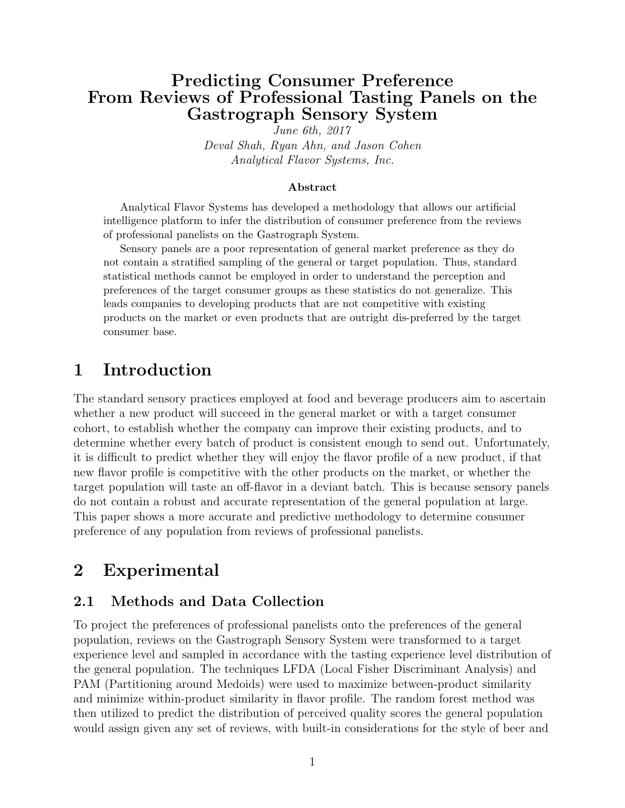### Predicting Consumer Preference From Reviews of Professional Tasting Panels on the Gastrograph Sensory System

June 6th, 2017 Deval Shah, Ryan Ahn, and Jason Cohen Analytical Flavor Systems, Inc.

#### Abstract

Analytical Flavor Systems has developed a methodology that allows our artificial intelligence platform to infer the distribution of consumer preference from the reviews of professional panelists on the Gastrograph System.

Sensory panels are a poor representation of general market preference as they do not contain a stratified sampling of the general or target population. Thus, standard statistical methods cannot be employed in order to understand the perception and preferences of the target consumer groups as these statistics do not generalize. This leads companies to developing products that are not competitive with existing products on the market or even products that are outright dis-preferred by the target consumer base.

## 1 Introduction

The standard sensory practices employed at food and beverage producers aim to ascertain whether a new product will succeed in the general market or with a target consumer cohort, to establish whether the company can improve their existing products, and to determine whether every batch of product is consistent enough to send out. Unfortunately, it is difficult to predict whether they will enjoy the flavor profile of a new product, if that new flavor profile is competitive with the other products on the market, or whether the target population will taste an off-flavor in a deviant batch. This is because sensory panels do not contain a robust and accurate representation of the general population at large. This paper shows a more accurate and predictive methodology to determine consumer preference of any population from reviews of professional panelists.

## 2 Experimental

#### 2.1 Methods and Data Collection

To project the preferences of professional panelists onto the preferences of the general population, reviews on the Gastrograph Sensory System were transformed to a target experience level and sampled in accordance with the tasting experience level distribution of the general population. The techniques LFDA (Local Fisher Discriminant Analysis) and PAM (Partitioning around Medoids) were used to maximize between-product similarity and minimize within-product similarity in flavor profile. The random forest method was then utilized to predict the distribution of perceived quality scores the general population would assign given any set of reviews, with built-in considerations for the style of beer and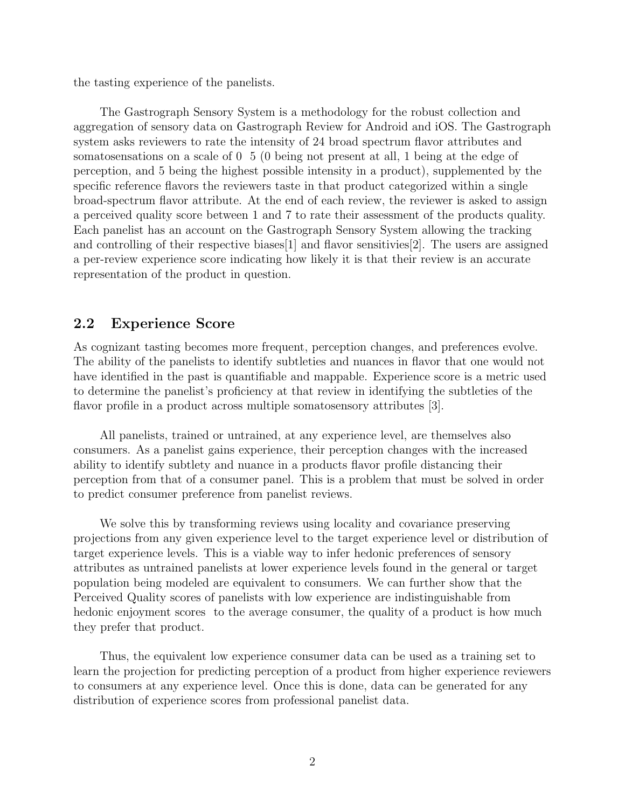the tasting experience of the panelists.

The Gastrograph Sensory System is a methodology for the robust collection and aggregation of sensory data on Gastrograph Review for Android and iOS. The Gastrograph system asks reviewers to rate the intensity of 24 broad spectrum flavor attributes and somatosensations on a scale of 0 5 (0 being not present at all, 1 being at the edge of perception, and 5 being the highest possible intensity in a product), supplemented by the specific reference flavors the reviewers taste in that product categorized within a single broad-spectrum flavor attribute. At the end of each review, the reviewer is asked to assign a perceived quality score between 1 and 7 to rate their assessment of the products quality. Each panelist has an account on the Gastrograph Sensory System allowing the tracking and controlling of their respective biases[1] and flavor sensitivies[2]. The users are assigned a per-review experience score indicating how likely it is that their review is an accurate representation of the product in question.

#### 2.2 Experience Score

As cognizant tasting becomes more frequent, perception changes, and preferences evolve. The ability of the panelists to identify subtleties and nuances in flavor that one would not have identified in the past is quantifiable and mappable. Experience score is a metric used to determine the panelist's proficiency at that review in identifying the subtleties of the flavor profile in a product across multiple somatosensory attributes [3].

All panelists, trained or untrained, at any experience level, are themselves also consumers. As a panelist gains experience, their perception changes with the increased ability to identify subtlety and nuance in a products flavor profile distancing their perception from that of a consumer panel. This is a problem that must be solved in order to predict consumer preference from panelist reviews.

We solve this by transforming reviews using locality and covariance preserving projections from any given experience level to the target experience level or distribution of target experience levels. This is a viable way to infer hedonic preferences of sensory attributes as untrained panelists at lower experience levels found in the general or target population being modeled are equivalent to consumers. We can further show that the Perceived Quality scores of panelists with low experience are indistinguishable from hedonic enjoyment scores to the average consumer, the quality of a product is how much they prefer that product.

Thus, the equivalent low experience consumer data can be used as a training set to learn the projection for predicting perception of a product from higher experience reviewers to consumers at any experience level. Once this is done, data can be generated for any distribution of experience scores from professional panelist data.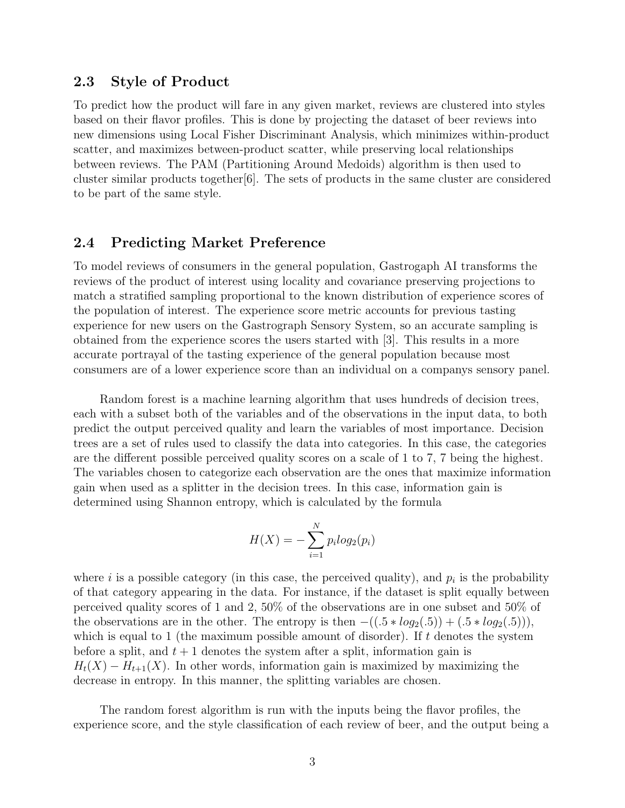#### 2.3 Style of Product

To predict how the product will fare in any given market, reviews are clustered into styles based on their flavor profiles. This is done by projecting the dataset of beer reviews into new dimensions using Local Fisher Discriminant Analysis, which minimizes within-product scatter, and maximizes between-product scatter, while preserving local relationships between reviews. The PAM (Partitioning Around Medoids) algorithm is then used to cluster similar products together[6]. The sets of products in the same cluster are considered to be part of the same style.

#### 2.4 Predicting Market Preference

To model reviews of consumers in the general population, Gastrogaph AI transforms the reviews of the product of interest using locality and covariance preserving projections to match a stratified sampling proportional to the known distribution of experience scores of the population of interest. The experience score metric accounts for previous tasting experience for new users on the Gastrograph Sensory System, so an accurate sampling is obtained from the experience scores the users started with [3]. This results in a more accurate portrayal of the tasting experience of the general population because most consumers are of a lower experience score than an individual on a companys sensory panel.

Random forest is a machine learning algorithm that uses hundreds of decision trees, each with a subset both of the variables and of the observations in the input data, to both predict the output perceived quality and learn the variables of most importance. Decision trees are a set of rules used to classify the data into categories. In this case, the categories are the different possible perceived quality scores on a scale of 1 to 7, 7 being the highest. The variables chosen to categorize each observation are the ones that maximize information gain when used as a splitter in the decision trees. In this case, information gain is determined using Shannon entropy, which is calculated by the formula

$$
H(X) = -\sum_{i=1}^{N} p_i log_2(p_i)
$$

where  $i$  is a possible category (in this case, the perceived quality), and  $p_i$  is the probability of that category appearing in the data. For instance, if the dataset is split equally between perceived quality scores of 1 and 2, 50% of the observations are in one subset and 50% of the observations are in the other. The entropy is then  $-((.5 * log_2(.5)) + (.5 * log_2(.5))),$ which is equal to 1 (the maximum possible amount of disorder). If t denotes the system before a split, and  $t + 1$  denotes the system after a split, information gain is  $H_t(X) - H_{t+1}(X)$ . In other words, information gain is maximized by maximizing the decrease in entropy. In this manner, the splitting variables are chosen.

The random forest algorithm is run with the inputs being the flavor profiles, the experience score, and the style classification of each review of beer, and the output being a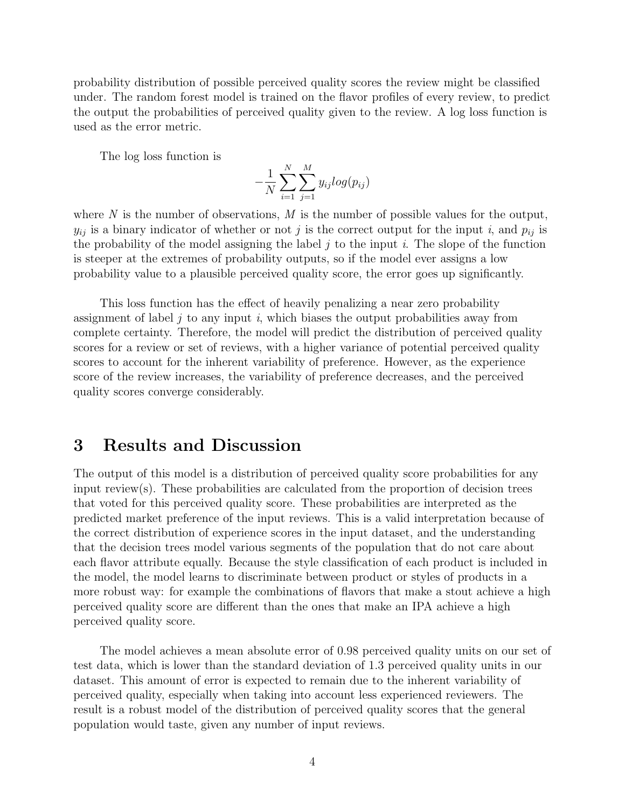probability distribution of possible perceived quality scores the review might be classified under. The random forest model is trained on the flavor profiles of every review, to predict the output the probabilities of perceived quality given to the review. A log loss function is used as the error metric.

The log loss function is

$$
-\frac{1}{N}\sum_{i=1}^{N}\sum_{j=1}^{M}y_{ij}log(p_{ij})
$$

where  $N$  is the number of observations,  $M$  is the number of possible values for the output,  $y_{ij}$  is a binary indicator of whether or not j is the correct output for the input i, and  $p_{ij}$  is the probability of the model assigning the label  $j$  to the input  $i$ . The slope of the function is steeper at the extremes of probability outputs, so if the model ever assigns a low probability value to a plausible perceived quality score, the error goes up significantly.

This loss function has the effect of heavily penalizing a near zero probability assignment of label  $j$  to any input  $i$ , which biases the output probabilities away from complete certainty. Therefore, the model will predict the distribution of perceived quality scores for a review or set of reviews, with a higher variance of potential perceived quality scores to account for the inherent variability of preference. However, as the experience score of the review increases, the variability of preference decreases, and the perceived quality scores converge considerably.

### 3 Results and Discussion

The output of this model is a distribution of perceived quality score probabilities for any input review(s). These probabilities are calculated from the proportion of decision trees that voted for this perceived quality score. These probabilities are interpreted as the predicted market preference of the input reviews. This is a valid interpretation because of the correct distribution of experience scores in the input dataset, and the understanding that the decision trees model various segments of the population that do not care about each flavor attribute equally. Because the style classification of each product is included in the model, the model learns to discriminate between product or styles of products in a more robust way: for example the combinations of flavors that make a stout achieve a high perceived quality score are different than the ones that make an IPA achieve a high perceived quality score.

The model achieves a mean absolute error of 0.98 perceived quality units on our set of test data, which is lower than the standard deviation of 1.3 perceived quality units in our dataset. This amount of error is expected to remain due to the inherent variability of perceived quality, especially when taking into account less experienced reviewers. The result is a robust model of the distribution of perceived quality scores that the general population would taste, given any number of input reviews.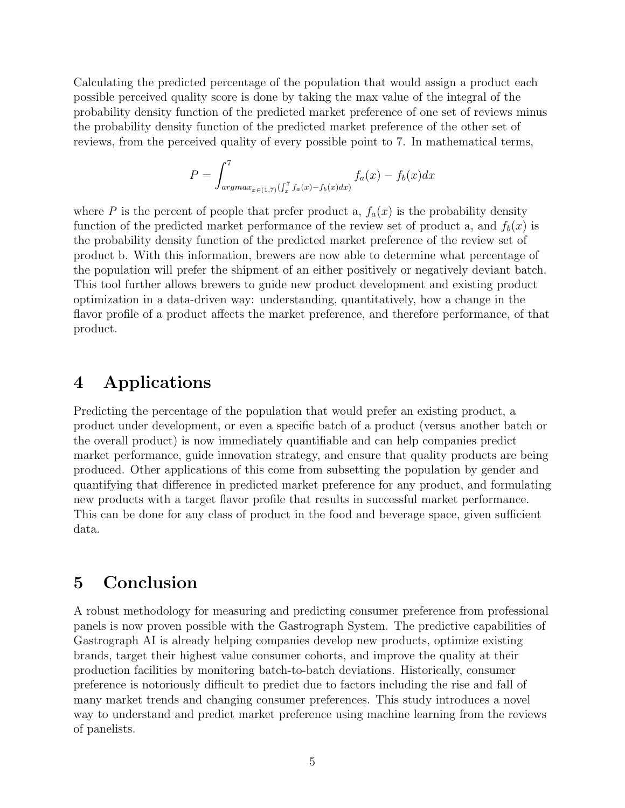Calculating the predicted percentage of the population that would assign a product each possible perceived quality score is done by taking the max value of the integral of the probability density function of the predicted market preference of one set of reviews minus the probability density function of the predicted market preference of the other set of reviews, from the perceived quality of every possible point to 7. In mathematical terms,

$$
P = \int_{argmax_{x \in (1,7)} (\int_x^7 f_a(x) - f_b(x) dx)}^7 f_a(x) - f_b(x) dx
$$

where P is the percent of people that prefer product a,  $f_a(x)$  is the probability density function of the predicted market performance of the review set of product a, and  $f_b(x)$  is the probability density function of the predicted market preference of the review set of product b. With this information, brewers are now able to determine what percentage of the population will prefer the shipment of an either positively or negatively deviant batch. This tool further allows brewers to guide new product development and existing product optimization in a data-driven way: understanding, quantitatively, how a change in the flavor profile of a product affects the market preference, and therefore performance, of that product.

### 4 Applications

Predicting the percentage of the population that would prefer an existing product, a product under development, or even a specific batch of a product (versus another batch or the overall product) is now immediately quantifiable and can help companies predict market performance, guide innovation strategy, and ensure that quality products are being produced. Other applications of this come from subsetting the population by gender and quantifying that difference in predicted market preference for any product, and formulating new products with a target flavor profile that results in successful market performance. This can be done for any class of product in the food and beverage space, given sufficient data.

### 5 Conclusion

A robust methodology for measuring and predicting consumer preference from professional panels is now proven possible with the Gastrograph System. The predictive capabilities of Gastrograph AI is already helping companies develop new products, optimize existing brands, target their highest value consumer cohorts, and improve the quality at their production facilities by monitoring batch-to-batch deviations. Historically, consumer preference is notoriously difficult to predict due to factors including the rise and fall of many market trends and changing consumer preferences. This study introduces a novel way to understand and predict market preference using machine learning from the reviews of panelists.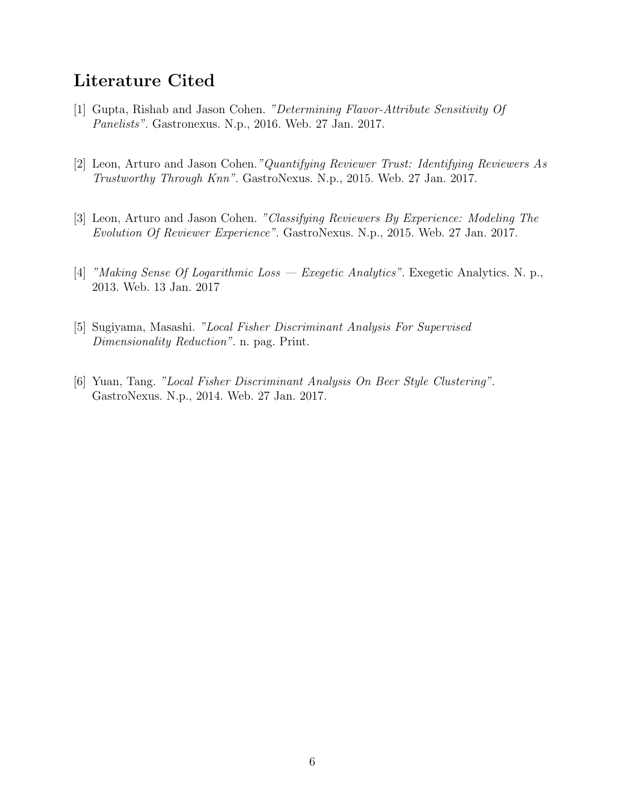## Literature Cited

- [1] Gupta, Rishab and Jason Cohen. "Determining Flavor-Attribute Sensitivity Of Panelists". Gastronexus. N.p., 2016. Web. 27 Jan. 2017.
- [2] Leon, Arturo and Jason Cohen."Quantifying Reviewer Trust: Identifying Reviewers As Trustworthy Through Knn". GastroNexus. N.p., 2015. Web. 27 Jan. 2017.
- [3] Leon, Arturo and Jason Cohen. "Classifying Reviewers By Experience: Modeling The Evolution Of Reviewer Experience". GastroNexus. N.p., 2015. Web. 27 Jan. 2017.
- [4] "Making Sense Of Logarithmic Loss Exegetic Analytics". Exegetic Analytics. N. p., 2013. Web. 13 Jan. 2017
- [5] Sugiyama, Masashi. "Local Fisher Discriminant Analysis For Supervised Dimensionality Reduction". n. pag. Print.
- [6] Yuan, Tang. "Local Fisher Discriminant Analysis On Beer Style Clustering". GastroNexus. N.p., 2014. Web. 27 Jan. 2017.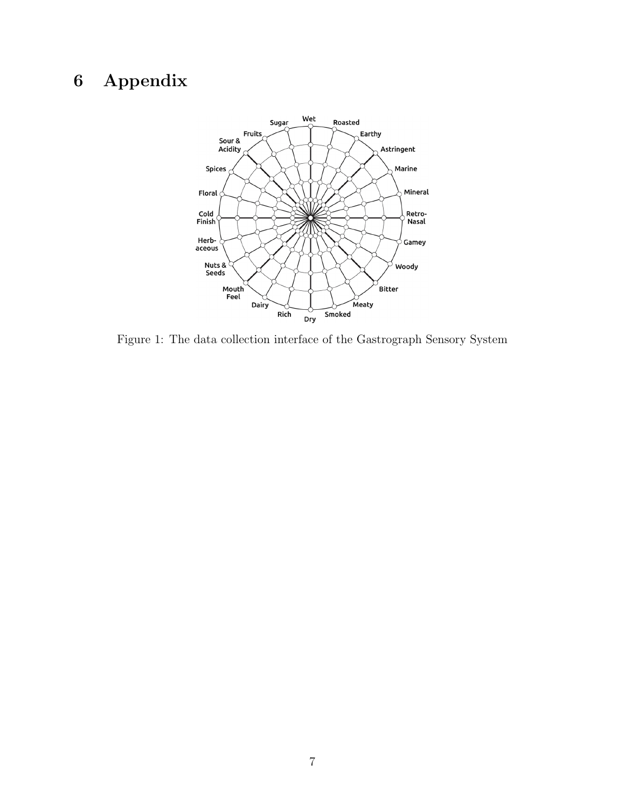# 6 Appendix



Figure 1: The data collection interface of the Gastrograph Sensory System